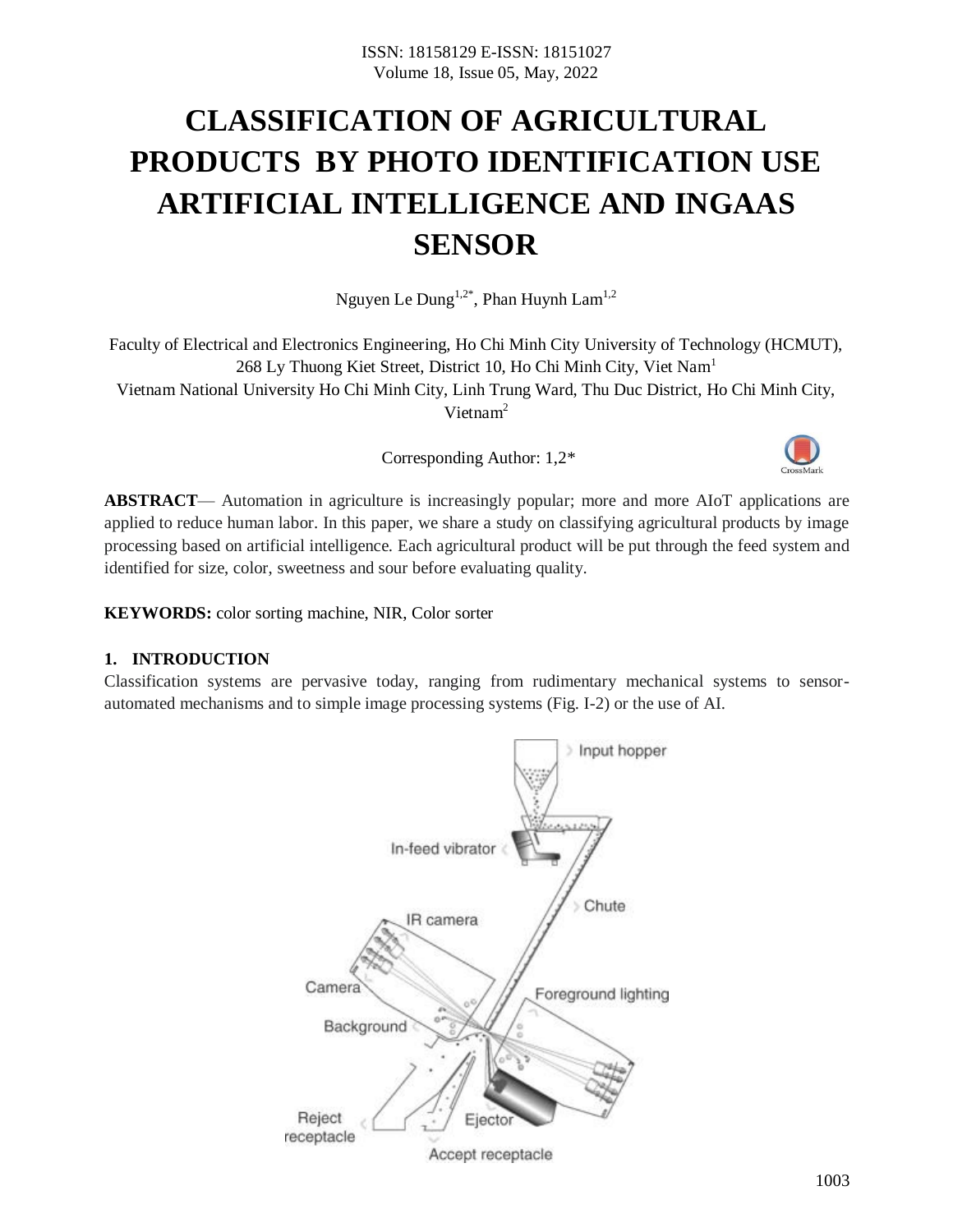# **CLASSIFICATION OF AGRICULTURAL PRODUCTS BY PHOTO IDENTIFICATION USE ARTIFICIAL INTELLIGENCE AND INGAAS SENSOR**

Nguyen Le  $\textsf{Dung}^{1,2^*}$ , Phan Huynh  $\textsf{Lam}^{1,2}$ 

Faculty of Electrical and Electronics Engineering, Ho Chi Minh City University of Technology (HCMUT), 268 Ly Thuong Kiet Street, District 10, Ho Chi Minh City, Viet Nam<sup>1</sup> Vietnam National University Ho Chi Minh City, Linh Trung Ward, Thu Duc District, Ho Chi Minh City, Vietnam<sup>2</sup>

Corresponding Author: 1,2\*



**ABSTRACT**— Automation in agriculture is increasingly popular; more and more AIoT applications are applied to reduce human labor. In this paper, we share a study on classifying agricultural products by image processing based on artificial intelligence. Each agricultural product will be put through the feed system and identified for size, color, sweetness and sour before evaluating quality.

**KEYWORDS:** color sorting machine, NIR, Color sorter

# **1. INTRODUCTION**

Classification systems are pervasive today, ranging from rudimentary mechanical systems to sensorautomated mechanisms and to simple image processing systems (Fig. I-2) or the use of AI.

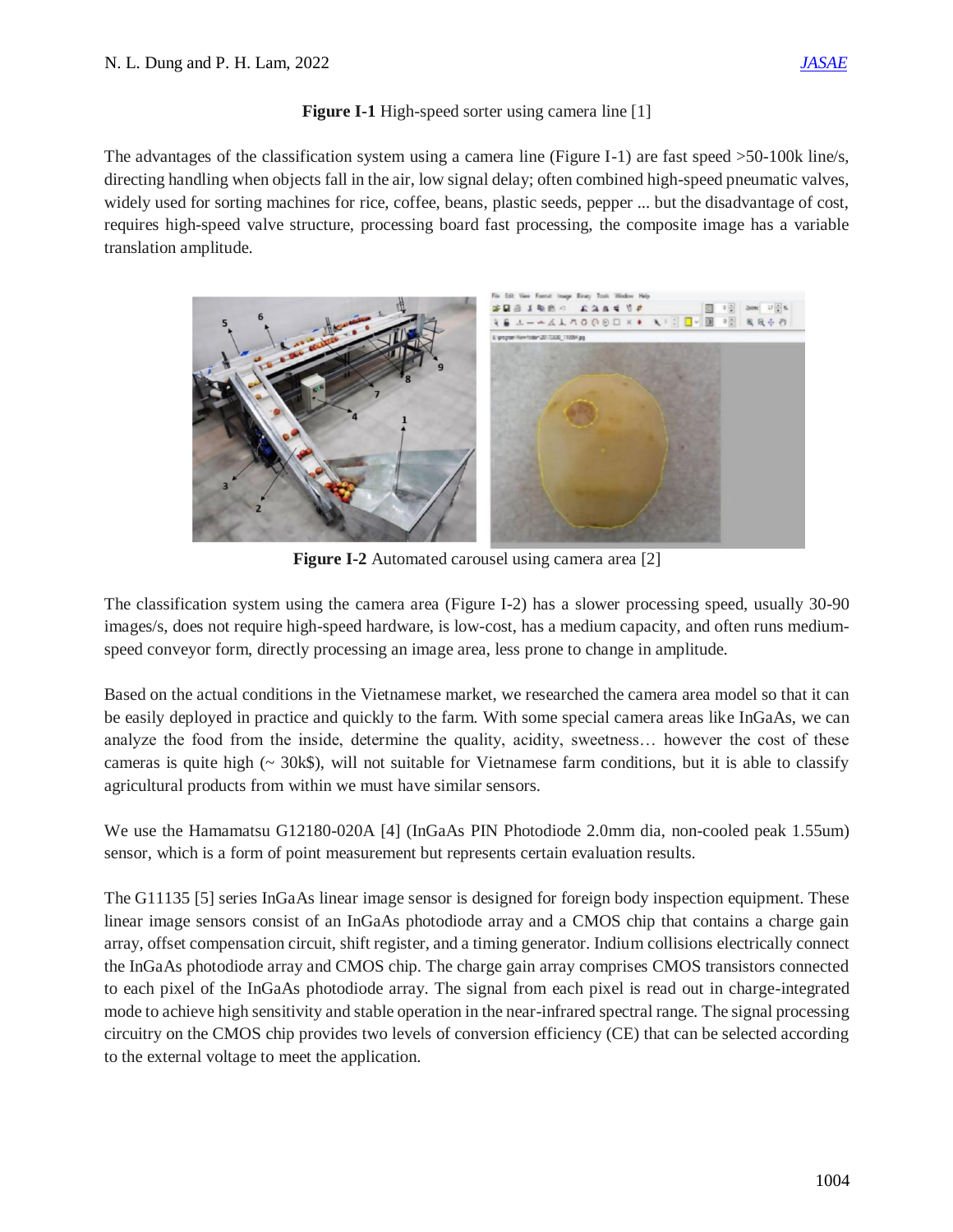# **Figure I-1** High-speed sorter using camera line [1]

The advantages of the classification system using a camera line (Figure I-1) are fast speed >50-100k line/s, directing handling when objects fall in the air, low signal delay; often combined high-speed pneumatic valves, widely used for sorting machines for rice, coffee, beans, plastic seeds, pepper ... but the disadvantage of cost, requires high-speed valve structure, processing board fast processing, the composite image has a variable translation amplitude.



**Figure I-2** Automated carousel using camera area [2]

The classification system using the camera area (Figure I-2) has a slower processing speed, usually 30-90 images/s, does not require high-speed hardware, is low-cost, has a medium capacity, and often runs mediumspeed conveyor form, directly processing an image area, less prone to change in amplitude.

Based on the actual conditions in the Vietnamese market, we researched the camera area model so that it can be easily deployed in practice and quickly to the farm. With some special camera areas like InGaAs, we can analyze the food from the inside, determine the quality, acidity, sweetness… however the cost of these cameras is quite high ( $\sim$  30k\$), will not suitable for Vietnamese farm conditions, but it is able to classify agricultural products from within we must have similar sensors.

We use the Hamamatsu G12180-020A [4] (InGaAs PIN Photodiode 2.0mm dia, non-cooled peak 1.55um) sensor, which is a form of point measurement but represents certain evaluation results.

The G11135 [5] series InGaAs linear image sensor is designed for foreign body inspection equipment. These linear image sensors consist of an InGaAs photodiode array and a CMOS chip that contains a charge gain array, offset compensation circuit, shift register, and a timing generator. Indium collisions electrically connect the InGaAs photodiode array and CMOS chip. The charge gain array comprises CMOS transistors connected to each pixel of the InGaAs photodiode array. The signal from each pixel is read out in charge-integrated mode to achieve high sensitivity and stable operation in the near-infrared spectral range. The signal processing circuitry on the CMOS chip provides two levels of conversion efficiency (CE) that can be selected according to the external voltage to meet the application.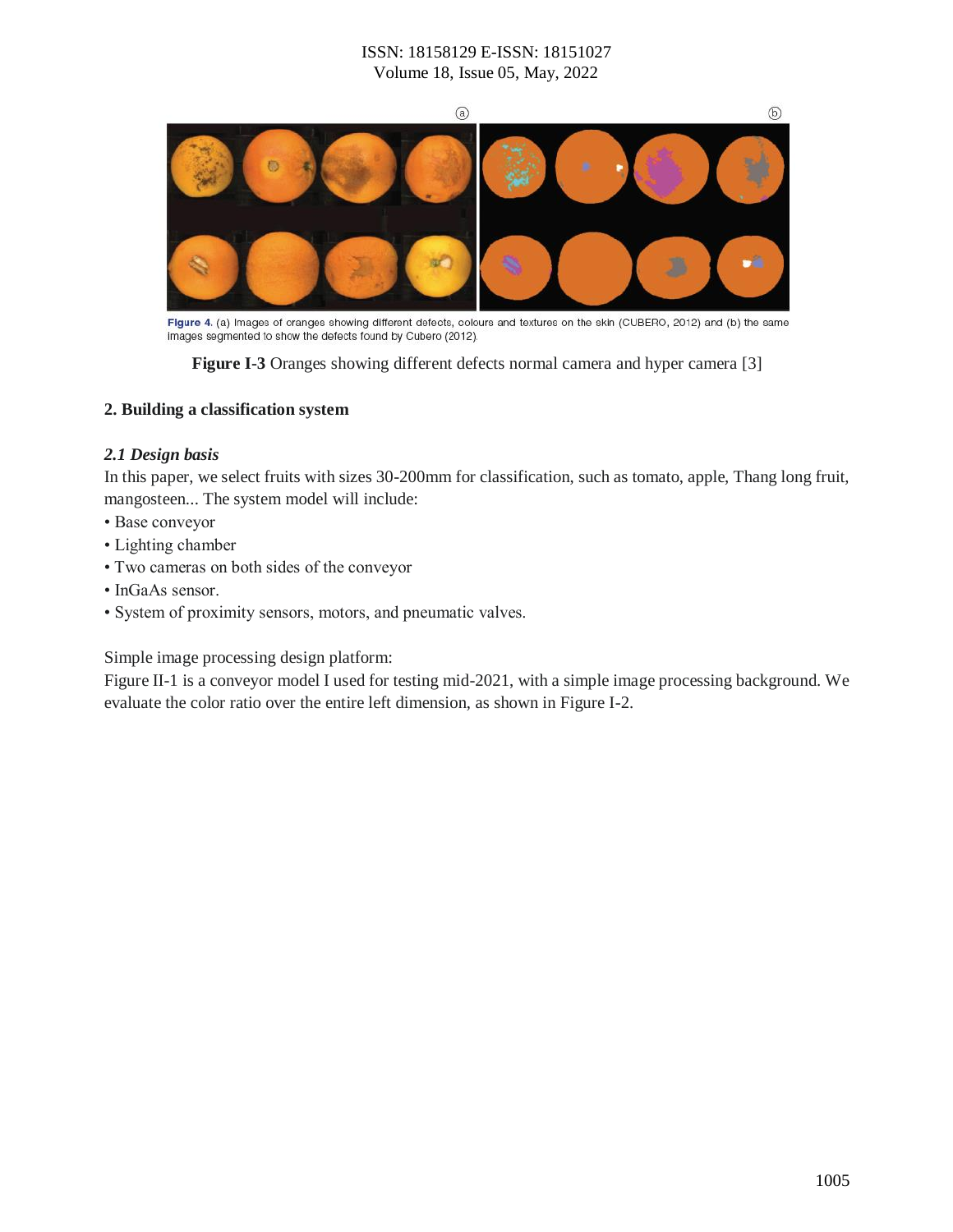

Figure 4. (a) Images of oranges showing different defects, colours and textures on the skin (CUBERO, 2012) and (b) the same images segmented to show the defects found by Cubero (2012).

**Figure I-3** Oranges showing different defects normal camera and hyper camera [3]

#### **2. Building a classification system**

#### *2.1 Design basis*

In this paper, we select fruits with sizes 30-200mm for classification, such as tomato, apple, Thang long fruit, mangosteen... The system model will include:

- Base conveyor
- Lighting chamber
- Two cameras on both sides of the conveyor
- InGaAs sensor.
- System of proximity sensors, motors, and pneumatic valves.

Simple image processing design platform:

Figure II-1 is a conveyor model I used for testing mid-2021, with a simple image processing background. We evaluate the color ratio over the entire left dimension, as shown in Figure I-2.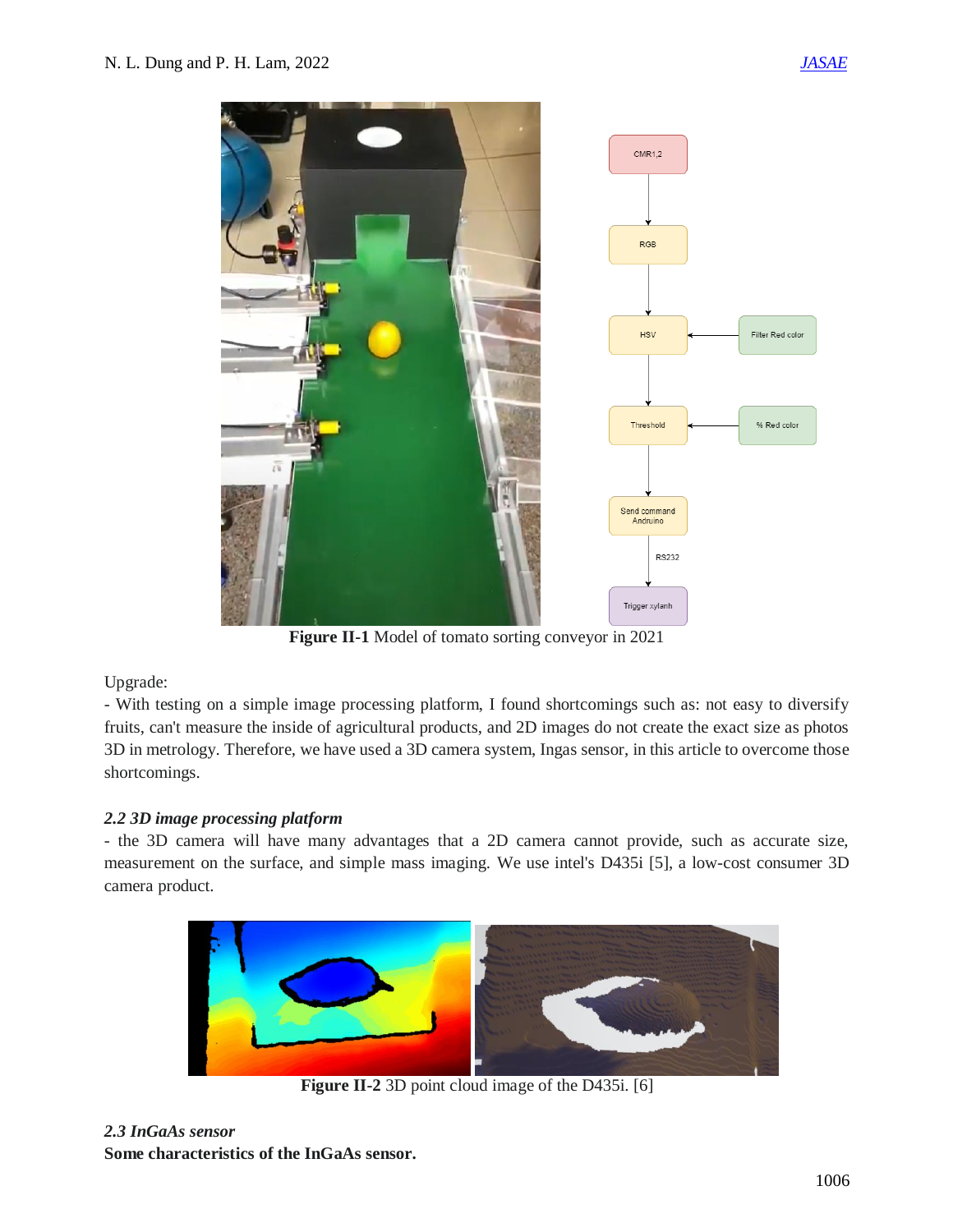

**Figure II-1** Model of tomato sorting conveyor in 2021

# Upgrade:

- With testing on a simple image processing platform, I found shortcomings such as: not easy to diversify fruits, can't measure the inside of agricultural products, and 2D images do not create the exact size as photos 3D in metrology. Therefore, we have used a 3D camera system, Ingas sensor, in this article to overcome those shortcomings.

# *2.2 3D image processing platform*

- the 3D camera will have many advantages that a 2D camera cannot provide, such as accurate size, measurement on the surface, and simple mass imaging. We use intel's D435i [5], a low-cost consumer 3D camera product.



**Figure II-2** 3D point cloud image of the D435i. [6]

# *2.3 InGaAs sensor*

**Some characteristics of the InGaAs sensor.**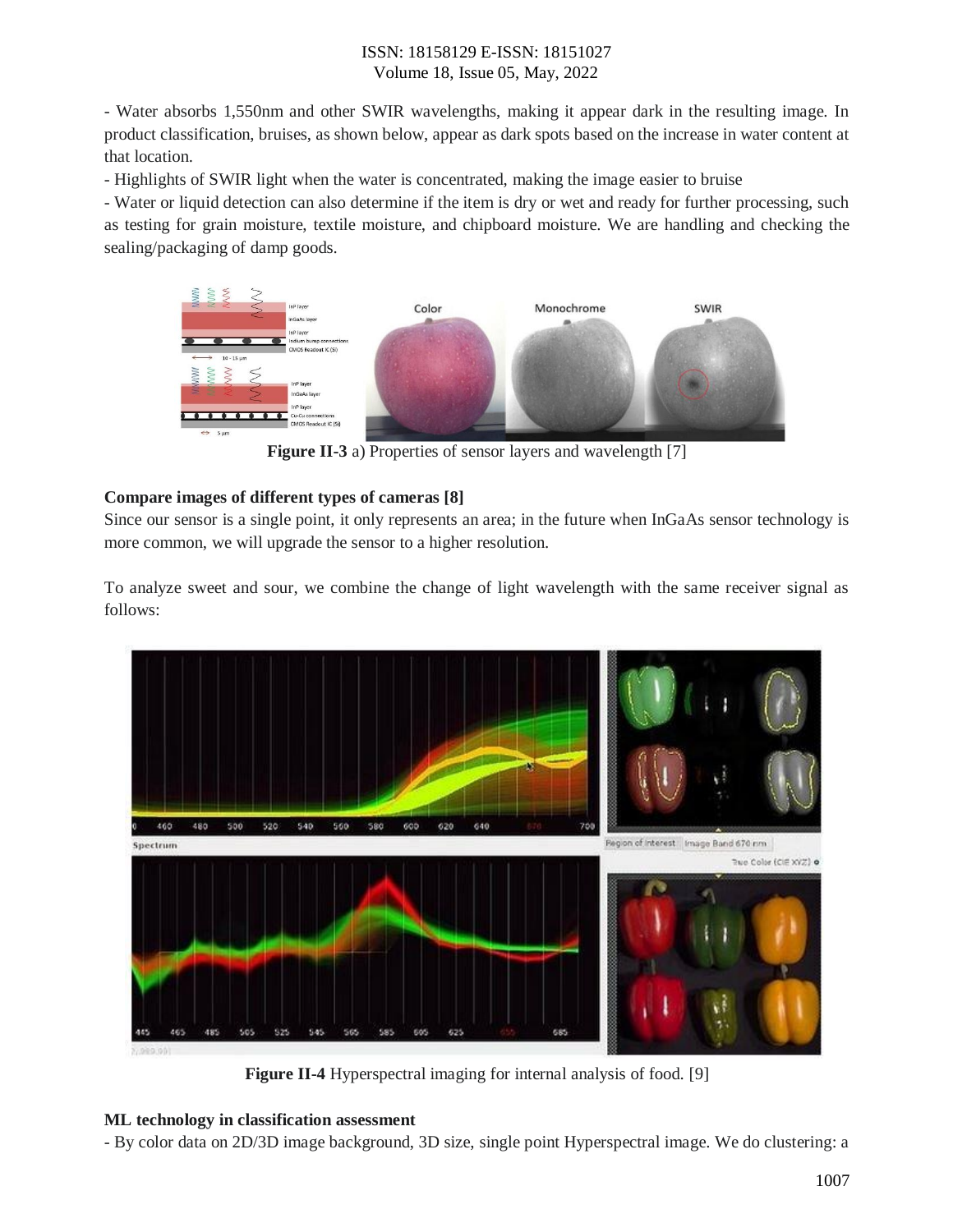- Water absorbs 1,550nm and other SWIR wavelengths, making it appear dark in the resulting image. In product classification, bruises, as shown below, appear as dark spots based on the increase in water content at that location.

- Highlights of SWIR light when the water is concentrated, making the image easier to bruise

- Water or liquid detection can also determine if the item is dry or wet and ready for further processing, such as testing for grain moisture, textile moisture, and chipboard moisture. We are handling and checking the sealing/packaging of damp goods.



**Figure II-3** a) Properties of sensor layers and wavelength [7]

# **Compare images of different types of cameras [8]**

Since our sensor is a single point, it only represents an area; in the future when InGaAs sensor technology is more common, we will upgrade the sensor to a higher resolution.

To analyze sweet and sour, we combine the change of light wavelength with the same receiver signal as follows:



**Figure II-4** Hyperspectral imaging for internal analysis of food. [9]

# **ML technology in classification assessment**

- By color data on 2D/3D image background, 3D size, single point Hyperspectral image. We do clustering: a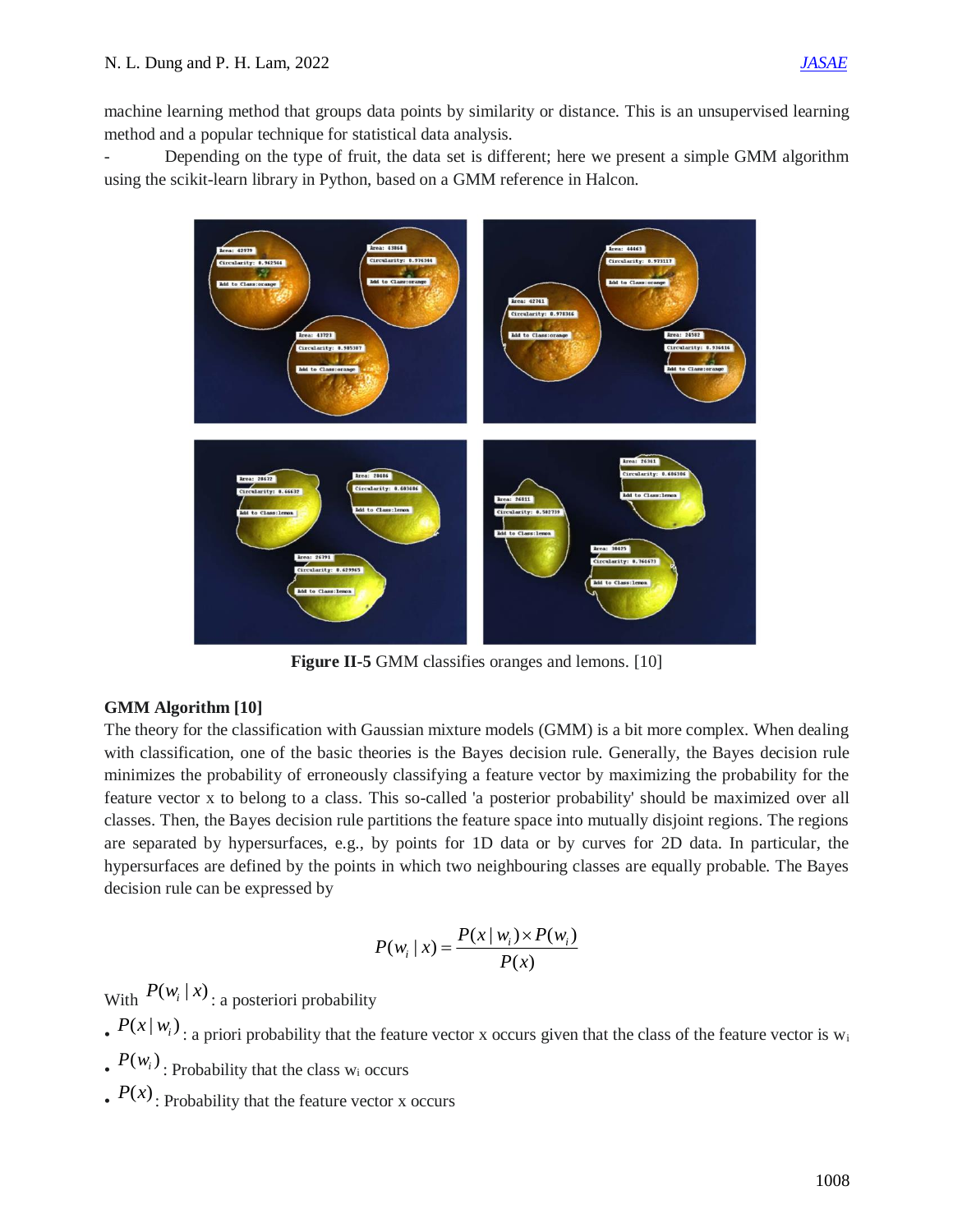machine learning method that groups data points by similarity or distance. This is an unsupervised learning method and a popular technique for statistical data analysis.

- Depending on the type of fruit, the data set is different; here we present a simple GMM algorithm using the scikit-learn library in Python, based on a GMM reference in Halcon.



**Figure II-5** GMM classifies oranges and lemons. [10]

# **GMM Algorithm [10]**

The theory for the classification with Gaussian mixture models (GMM) is a bit more complex. When dealing with classification, one of the basic theories is the Bayes decision rule. Generally, the Bayes decision rule minimizes the probability of erroneously classifying a feature vector by maximizing the probability for the feature vector x to belong to a class. This so-called 'a posterior probability' should be maximized over all classes. Then, the Bayes decision rule partitions the feature space into mutually disjoint regions. The regions are separated by hypersurfaces, e.g., by points for 1D data or by curves for 2D data. In particular, the hypersurfaces are defined by the points in which two neighbouring classes are equally probable. The Bayes decision rule can be expressed by

$$
P(w_i | x) = \frac{P(x | w_i) \times P(w_i)}{P(x)}
$$

With  $P(w_i | x)$ : a posteriori probability

- $\mathbb{P}(x | w_i)$ : a priori probability that the feature vector x occurs given that the class of the feature vector is w<sub>i</sub>
- $\cdot$   $P(w_i)$ : Probability that the class w<sub>i</sub> occurs
- $\cdot$   $P(x)$ : Probability that the feature vector x occurs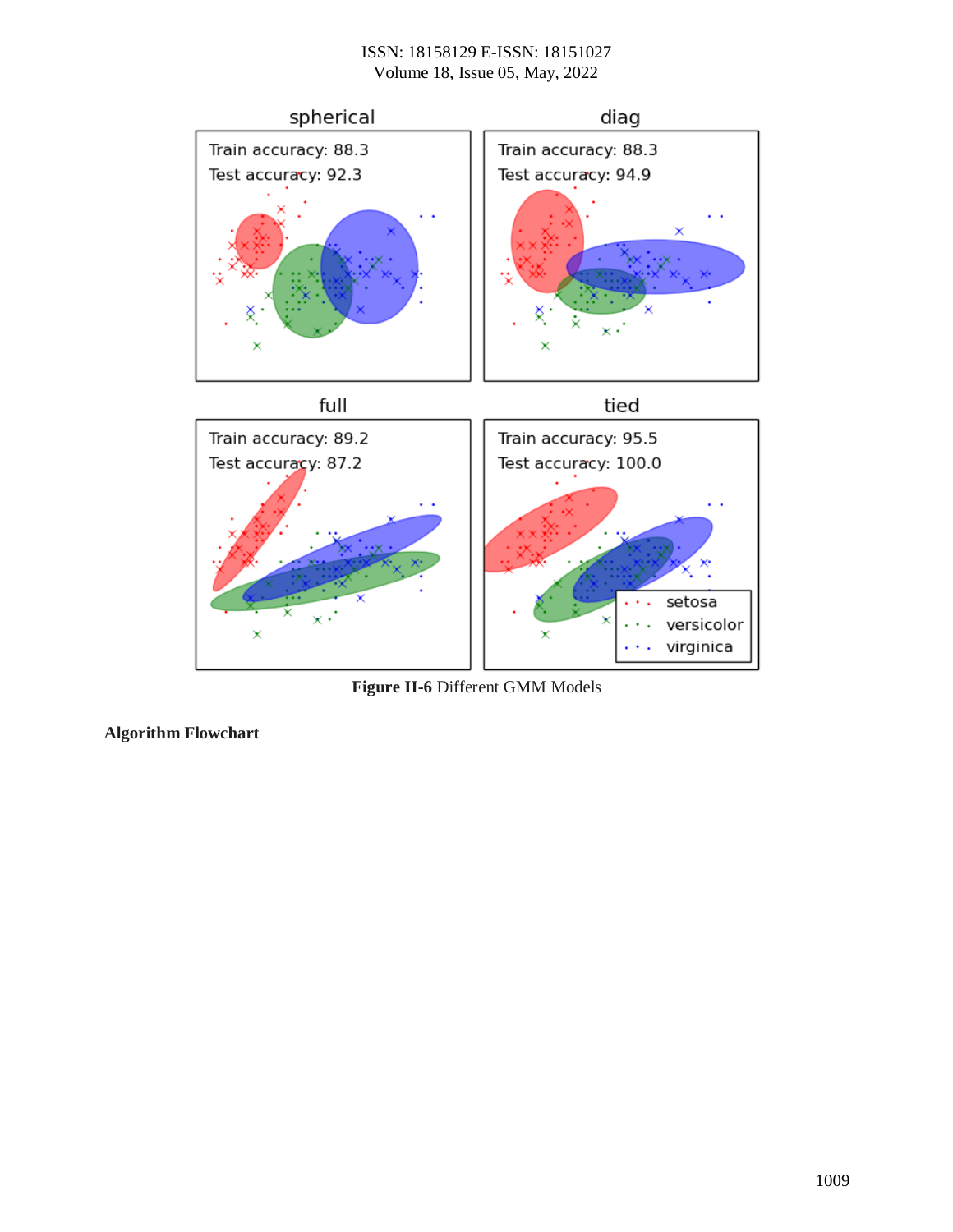

**Figure II-6** Different GMM Models

**Algorithm Flowchart**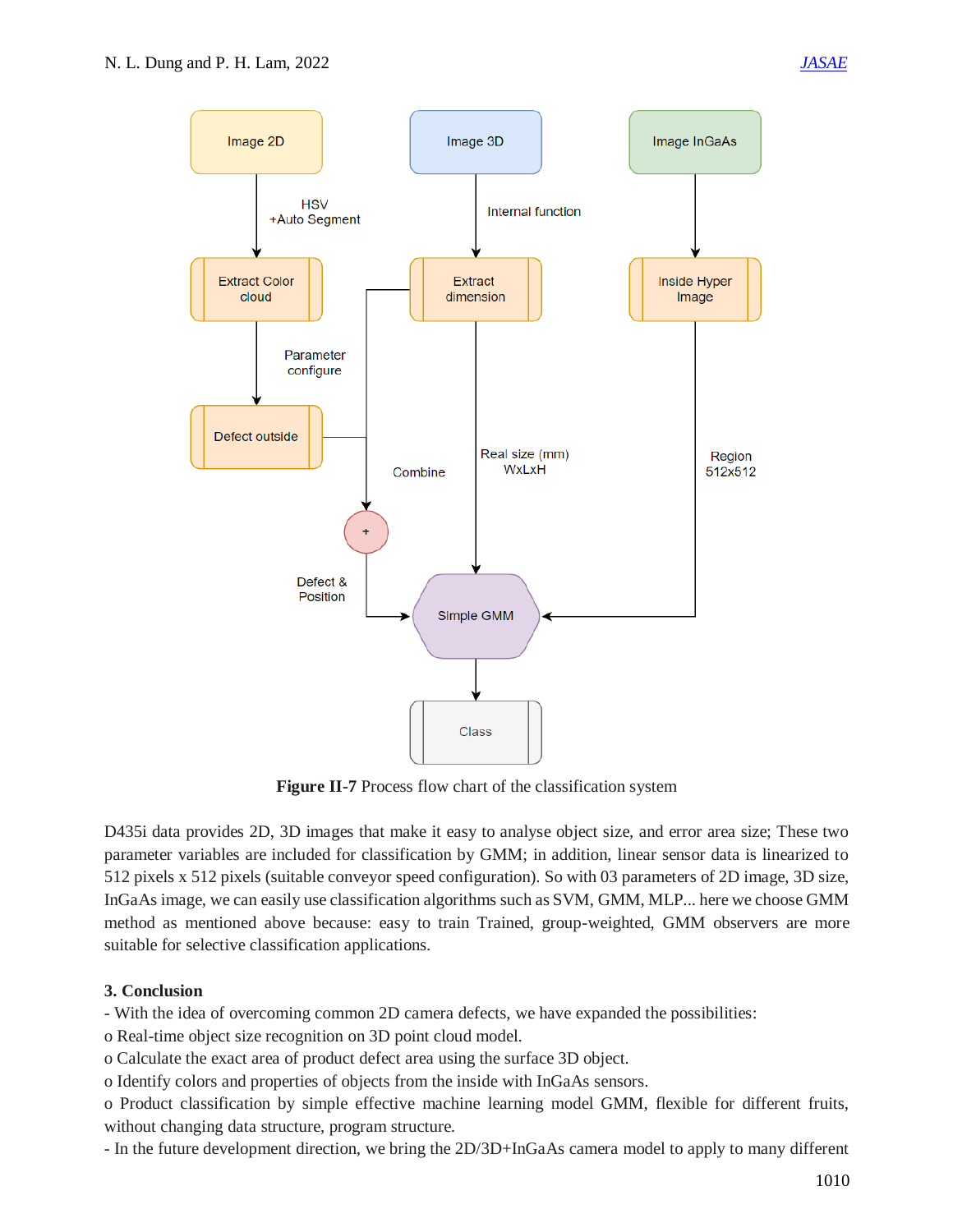

**Figure II-7** Process flow chart of the classification system

D435i data provides 2D, 3D images that make it easy to analyse object size, and error area size; These two parameter variables are included for classification by GMM; in addition, linear sensor data is linearized to 512 pixels x 512 pixels (suitable conveyor speed configuration). So with 03 parameters of 2D image, 3D size, InGaAs image, we can easily use classification algorithms such as SVM, GMM, MLP... here we choose GMM method as mentioned above because: easy to train Trained, group-weighted, GMM observers are more suitable for selective classification applications.

# **3. Conclusion**

- With the idea of overcoming common 2D camera defects, we have expanded the possibilities:

o Real-time object size recognition on 3D point cloud model.

o Calculate the exact area of product defect area using the surface 3D object.

o Identify colors and properties of objects from the inside with InGaAs sensors.

o Product classification by simple effective machine learning model GMM, flexible for different fruits, without changing data structure, program structure.

- In the future development direction, we bring the 2D/3D+InGaAs camera model to apply to many different